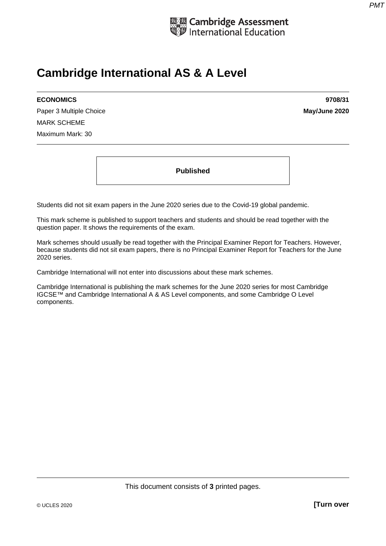

## **Cambridge International AS & A Level**

Paper 3 Multiple Choice **May/June 2020** MARK SCHEME Maximum Mark: 30

**ECONOMICS 9708/31** 

**Published** 

Students did not sit exam papers in the June 2020 series due to the Covid-19 global pandemic.

This mark scheme is published to support teachers and students and should be read together with the question paper. It shows the requirements of the exam.

Mark schemes should usually be read together with the Principal Examiner Report for Teachers. However, because students did not sit exam papers, there is no Principal Examiner Report for Teachers for the June 2020 series.

Cambridge International will not enter into discussions about these mark schemes.

Cambridge International is publishing the mark schemes for the June 2020 series for most Cambridge IGCSE™ and Cambridge International A & AS Level components, and some Cambridge O Level components.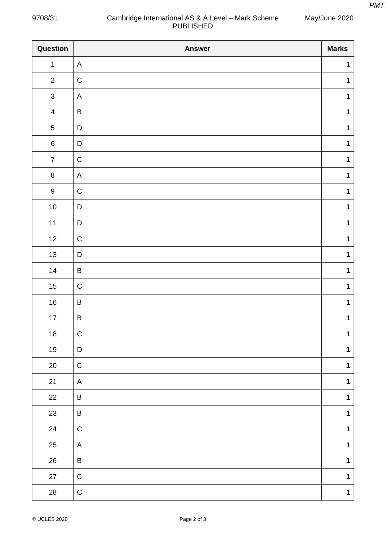May/June 2020

## 9708/31 Cambridge International AS & A Level – Mark Scheme PUBLISHED

| Question         | <b>Answer</b> | <b>Marks</b> |
|------------------|---------------|--------------|
| $\mathbf{1}$     | $\mathsf{A}$  | $\mathbf 1$  |
| $\overline{2}$   | $\mathsf C$   | $\mathbf 1$  |
| $\mathfrak{S}$   | $\mathsf{A}$  | $\mathbf 1$  |
| $\overline{4}$   | $\sf B$       | $\mathbf 1$  |
| $\sqrt{5}$       | D             | $\mathbf 1$  |
| $\,6\,$          | $\mathsf D$   | $\mathbf 1$  |
| $\overline{7}$   | $\mathsf C$   | $\mathbf 1$  |
| $\bf 8$          | $\mathsf{A}$  | $\mathbf 1$  |
| $\boldsymbol{9}$ | $\mathsf C$   | $\mathbf 1$  |
| $10\,$           | $\mathsf D$   | $\mathbf 1$  |
| $11$             | $\mathsf D$   | $\mathbf 1$  |
| 12               | $\mathsf C$   | $\mathbf 1$  |
| 13               | $\mathsf D$   | $\mathbf 1$  |
| $14$             | $\sf B$       | $\mathbf 1$  |
| $15\,$           | $\mathsf C$   | $\mathbf 1$  |
| $16\,$           | $\sf B$       | $\mathbf 1$  |
| $17\,$           | $\sf B$       | $\mathbf{1}$ |
| $18\,$           | $\mathsf C$   | 1            |
| $19$             | D             | $\mathbf{1}$ |
| $20\,$           | $\mathsf C$   | $\mathbf{1}$ |
| $21$             | A             | $\mathbf 1$  |
| 22               | B             | $\mathbf 1$  |
| 23               | $\sf B$       | $\mathbf{1}$ |
| 24               | $\mathsf C$   | $\mathbf{1}$ |
| 25               | A             | $\mathbf 1$  |
| $26\,$           | $\sf B$       | $\mathbf{1}$ |
| $27\,$           | $\mathsf C$   | $\mathbf{1}$ |
| ${\bf 28}$       | $\mathsf C$   | $\mathbf 1$  |